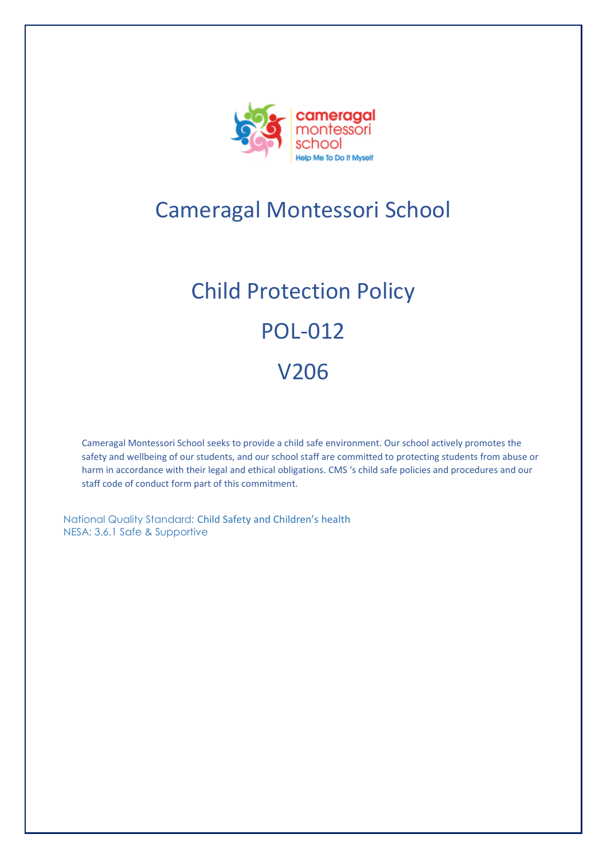

# Cameragal Montessori School

# Child Protection Policy POL-012 V206

Cameragal Montessori School seeks to provide a child safe environment. Our school actively promotes the safety and wellbeing of our students, and our school staff are committed to protecting students from abuse or harm in accordance with their legal and ethical obligations. CMS 's child safe policies and procedures and our staff code of conduct form part of this commitment.

National Quality Standard: Child Safety and Children's health NESA: 3.6.1 Safe & Supportive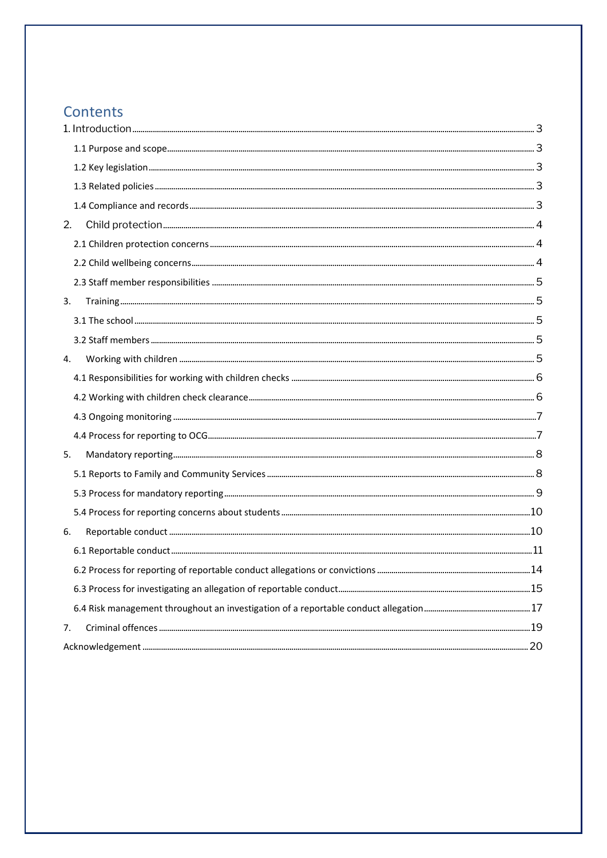### Contents

| 2. |  |
|----|--|
|    |  |
|    |  |
|    |  |
| 3. |  |
|    |  |
|    |  |
| 4. |  |
|    |  |
|    |  |
|    |  |
|    |  |
| 5. |  |
|    |  |
|    |  |
|    |  |
| 6. |  |
|    |  |
|    |  |
|    |  |
|    |  |
| 7. |  |
|    |  |
|    |  |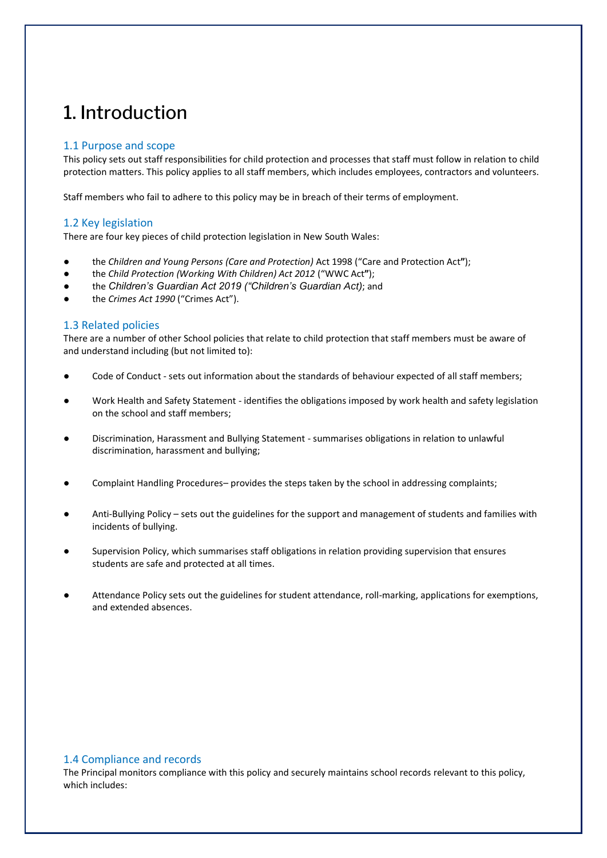# <span id="page-2-0"></span>1. Introduction

#### <span id="page-2-1"></span>1.1 Purpose and scope

This policy sets out staff responsibilities for child protection and processes that staff must follow in relation to child protection matters. This policy applies to all staff members, which includes employees, contractors and volunteers.

Staff members who fail to adhere to this policy may be in breach of their terms of employment.

#### <span id="page-2-2"></span>1.2 Key legislation

There are four key pieces of child protection legislation in New South Wales:

- the *Children and Young Persons (Care and Protection)* Act 1998 ("Care and Protection Act**"**);
- the *Child Protection (Working With Children) Act 2012* ("WWC Act**"**);
- the *Children's Guardian Act 2019 ("Children's Guardian Act)*; and
- the *Crimes Act 1990* ("Crimes Act").

#### <span id="page-2-3"></span>1.3 Related policies

There are a number of other School policies that relate to child protection that staff members must be aware of and understand including (but not limited to):

- Code of Conduct sets out information about the standards of behaviour expected of all staff members;
- Work Health and Safety Statement identifies the obligations imposed by work health and safety legislation on the school and staff members;
- Discrimination, Harassment and Bullying Statement summarises obligations in relation to unlawful discrimination, harassment and bullying;
- Complaint Handling Procedures– provides the steps taken by the school in addressing complaints;
- Anti-Bullying Policy sets out the guidelines for the support and management of students and families with incidents of bullying.
- Supervision Policy, which summarises staff obligations in relation providing supervision that ensures students are safe and protected at all times.
- Attendance Policy sets out the guidelines for student attendance, roll-marking, applications for exemptions, and extended absences.

#### <span id="page-2-4"></span>1.4 Compliance and records

The Principal monitors compliance with this policy and securely maintains school records relevant to this policy, which includes: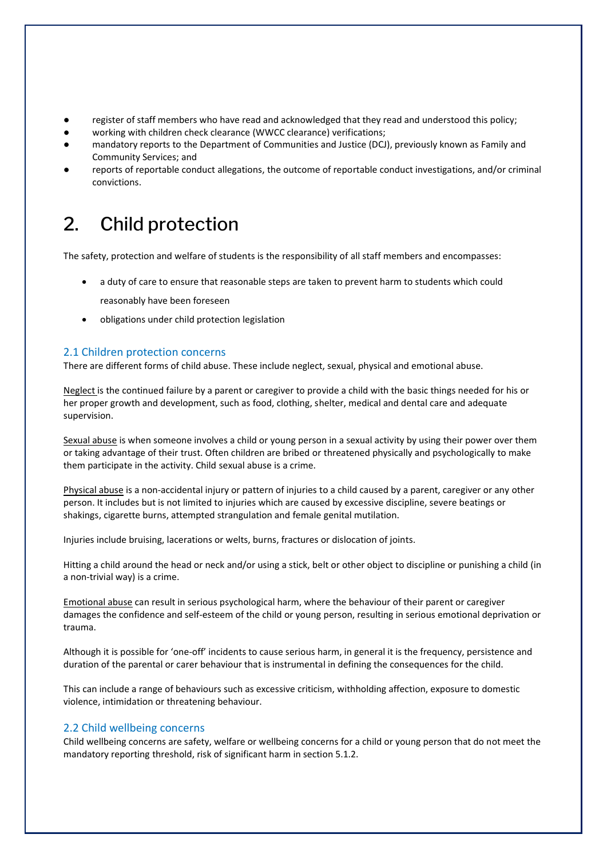- register of staff members who have read and acknowledged that they read and understood this policy;
- working with children check clearance (WWCC clearance) verifications;
- mandatory reports to the Department of Communities and Justice (DCJ), previously known as Family and Community Services; and
- reports of reportable conduct allegations, the outcome of reportable conduct investigations, and/or criminal convictions.

# <span id="page-3-0"></span>2. Child protection

The safety, protection and welfare of students is the responsibility of all staff members and encompasses:

- a duty of care to ensure that reasonable steps are taken to prevent harm to students which could
	- reasonably have been foreseen
- obligations under child protection legislation

#### <span id="page-3-1"></span>2.1 Children protection concerns

There are different forms of child abuse. These include neglect, sexual, physical and emotional abuse.

Neglect is the continued failure by a parent or caregiver to provide a child with the basic things needed for his or her proper growth and development, such as food, clothing, shelter, medical and dental care and adequate supervision.

Sexual abuse is when someone involves a child or young person in a sexual activity by using their power over them or taking advantage of their trust. Often children are bribed or threatened physically and psychologically to make them participate in the activity. Child sexual abuse is a crime.

Physical abuse is a non-accidental injury or pattern of injuries to a child caused by a parent, caregiver or any other person. It includes but is not limited to injuries which are caused by excessive discipline, severe beatings or shakings, cigarette burns, attempted strangulation and female genital mutilation.

Injuries include bruising, lacerations or welts, burns, fractures or dislocation of joints.

Hitting a child around the head or neck and/or using a stick, belt or other object to discipline or punishing a child (in a non-trivial way) is a crime.

Emotional abuse can result in serious psychological harm, where the behaviour of their parent or caregiver damages the confidence and self-esteem of the child or young person, resulting in serious emotional deprivation or trauma.

Although it is possible for 'one-off' incidents to cause serious harm, in general it is the frequency, persistence and duration of the parental or carer behaviour that is instrumental in defining the consequences for the child.

This can include a range of behaviours such as excessive criticism, withholding affection, exposure to domestic violence, intimidation or threatening behaviour.

#### <span id="page-3-2"></span>2.2 Child wellbeing concerns

Child wellbeing concerns are safety, welfare or wellbeing concerns for a child or young person that do not meet the mandatory reporting threshold, risk of significant harm in section 5.1.2.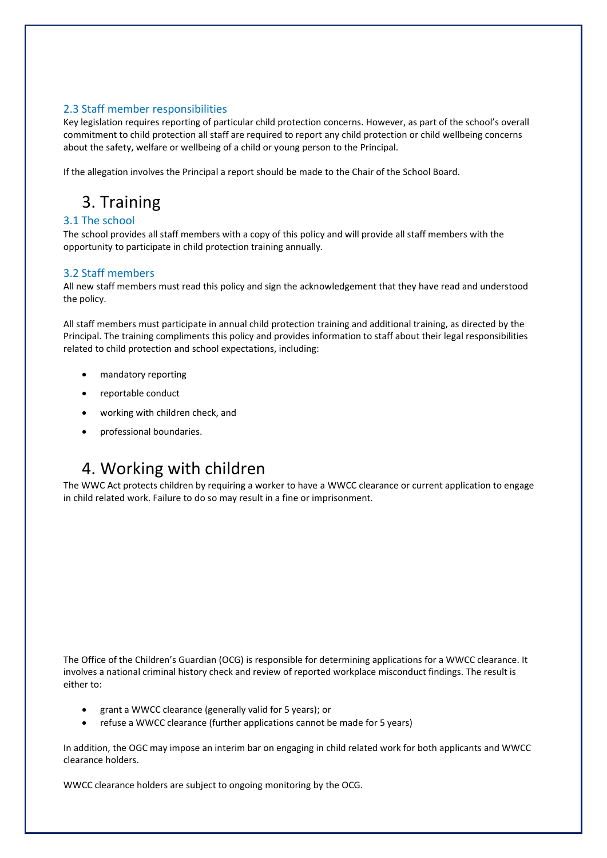#### <span id="page-4-0"></span>2.3 Staff member responsibilities

Key legislation requires reporting of particular child protection concerns. However, as part of the school's overall commitment to child protection all staff are required to report any child protection or child wellbeing concerns about the safety, welfare or wellbeing of a child or young person to the Principal.

If the allegation involves the Principal a report should be made to the Chair of the School Board.

# <span id="page-4-1"></span>3. Training

#### <span id="page-4-2"></span>3.1 The school

The school provides all staff members with a copy of this policy and will provide all staff members with the opportunity to participate in child protection training annually.

#### <span id="page-4-3"></span>3.2 Staff members

All new staff members must read this policy and sign the acknowledgement that they have read and understood the policy.

All staff members must participate in annual child protection training and additional training, as directed by the Principal. The training compliments this policy and provides information to staff about their legal responsibilities related to child protection and school expectations, including:

- mandatory reporting
- reportable conduct
- working with children check, and
- professional boundaries.

## <span id="page-4-4"></span>4. Working with children

The WWC Act protects children by requiring a worker to have a WWCC clearance or current application to engage in child related work. Failure to do so may result in a fine or imprisonment.

The Office of the Children's Guardian (OCG) is responsible for determining applications for a WWCC clearance. It involves a national criminal history check and review of reported workplace misconduct findings. The result is either to:

- grant a WWCC clearance (generally valid for 5 years); or
- refuse a WWCC clearance (further applications cannot be made for 5 years)

In addition, the OGC may impose an interim bar on engaging in child related work for both applicants and WWCC clearance holders.

WWCC clearance holders are subject to ongoing monitoring by the OCG.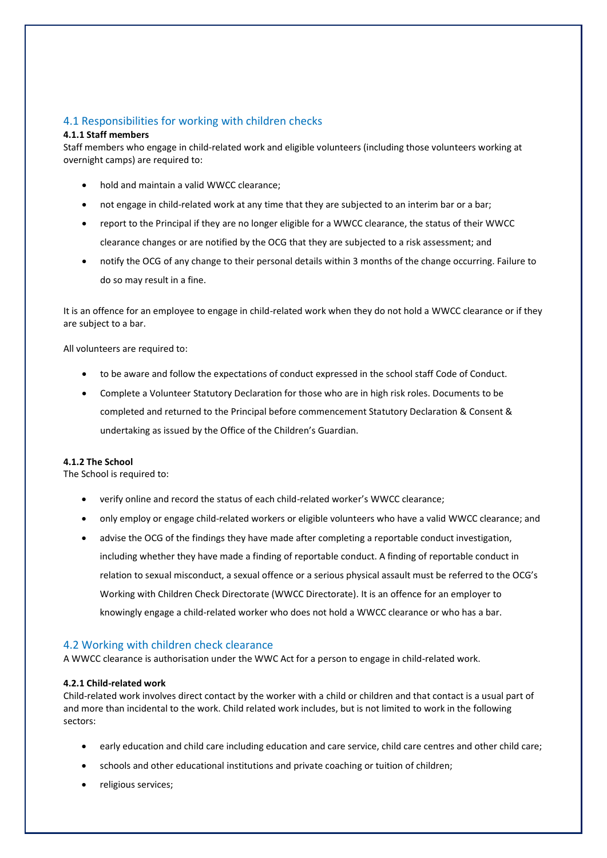#### <span id="page-5-0"></span>4.1 Responsibilities for working with children checks

#### **4.1.1 Staff members**

Staff members who engage in child-related work and eligible volunteers (including those volunteers working at overnight camps) are required to:

- hold and maintain a valid WWCC clearance;
- not engage in child-related work at any time that they are subjected to an interim bar or a bar;
- report to the Principal if they are no longer eligible for a WWCC clearance, the status of their WWCC clearance changes or are notified by the OCG that they are subjected to a risk assessment; and
- notify the OCG of any change to their personal details within 3 months of the change occurring. Failure to do so may result in a fine.

It is an offence for an employee to engage in child-related work when they do not hold a WWCC clearance or if they are subject to a bar.

All volunteers are required to:

- to be aware and follow the expectations of conduct expressed in the school staff Code of Conduct.
- Complete a Volunteer Statutory Declaration for those who are in high risk roles. Documents to be completed and returned to the Principal before commencement Statutory Declaration & Consent & undertaking as issued by the Office of the Children's Guardian.

#### **4.1.2 The School**

The School is required to:

- verify online and record the status of each child-related worker's WWCC clearance;
- only employ or engage child-related workers or eligible volunteers who have a valid WWCC clearance; and
- advise the OCG of the findings they have made after completing a reportable conduct investigation, including whether they have made a finding of reportable conduct. A finding of reportable conduct in relation to sexual misconduct, a sexual offence or a serious physical assault must be referred to the OCG's Working with Children Check Directorate (WWCC Directorate). It is an offence for an employer to knowingly engage a child-related worker who does not hold a WWCC clearance or who has a bar.

#### <span id="page-5-1"></span>4.2 Working with children check clearance

A WWCC clearance is authorisation under the WWC Act for a person to engage in child-related work.

#### **4.2.1 Child-related work**

Child-related work involves direct contact by the worker with a child or children and that contact is a usual part of and more than incidental to the work. Child related work includes, but is not limited to work in the following sectors:

- early education and child care including education and care service, child care centres and other child care;
- schools and other educational institutions and private coaching or tuition of children;
- religious services;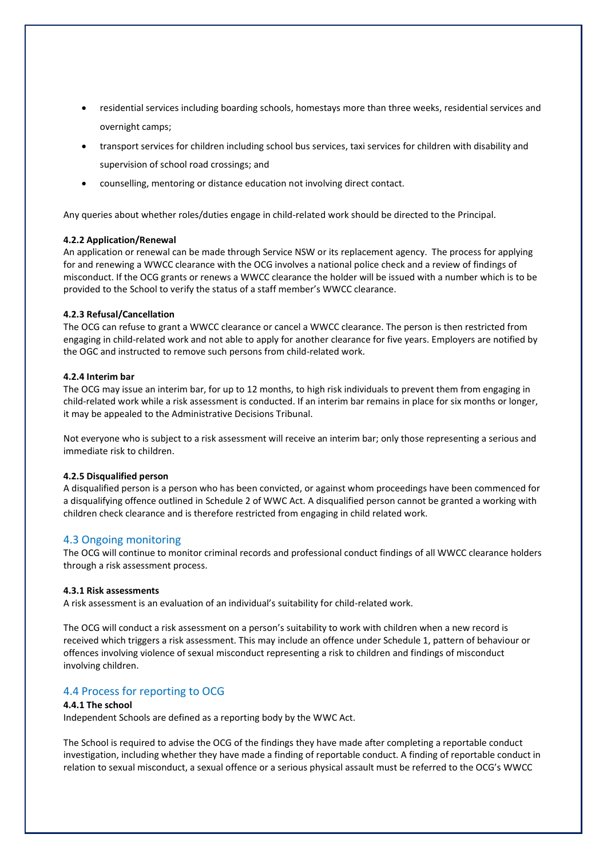- residential services including boarding schools, homestays more than three weeks, residential services and overnight camps;
- transport services for children including school bus services, taxi services for children with disability and supervision of school road crossings; and
- counselling, mentoring or distance education not involving direct contact.

Any queries about whether roles/duties engage in child-related work should be directed to the Principal.

#### **4.2.2 Application/Renewal**

An application or renewal can be made through Service NSW or its replacement agency. The process for applying for and renewing a WWCC clearance with the OCG involves a national police check and a review of findings of misconduct. If the OCG grants or renews a WWCC clearance the holder will be issued with a number which is to be provided to the School to verify the status of a staff member's WWCC clearance.

#### **4.2.3 Refusal/Cancellation**

The OCG can refuse to grant a WWCC clearance or cancel a WWCC clearance. The person is then restricted from engaging in child-related work and not able to apply for another clearance for five years. Employers are notified by the OGC and instructed to remove such persons from child-related work.

#### **4.2.4 Interim bar**

The OCG may issue an interim bar, for up to 12 months, to high risk individuals to prevent them from engaging in child-related work while a risk assessment is conducted. If an interim bar remains in place for six months or longer, it may be appealed to the Administrative Decisions Tribunal.

Not everyone who is subject to a risk assessment will receive an interim bar; only those representing a serious and immediate risk to children.

#### **4.2.5 Disqualified person**

A disqualified person is a person who has been convicted, or against whom proceedings have been commenced for a disqualifying offence outlined in Schedule 2 of WWC Act. A disqualified person cannot be granted a working with children check clearance and is therefore restricted from engaging in child related work.

#### <span id="page-6-0"></span>4.3 Ongoing monitoring

The OCG will continue to monitor criminal records and professional conduct findings of all WWCC clearance holders through a risk assessment process.

#### **4.3.1 Risk assessments**

A risk assessment is an evaluation of an individual's suitability for child-related work.

The OCG will conduct a risk assessment on a person's suitability to work with children when a new record is received which triggers a risk assessment. This may include an offence under Schedule 1, pattern of behaviour or offences involving violence of sexual misconduct representing a risk to children and findings of misconduct involving children.

#### <span id="page-6-1"></span>4.4 Process for reporting to OCG

#### **4.4.1 The school**

Independent Schools are defined as a reporting body by the WWC Act.

The School is required to advise the OCG of the findings they have made after completing a reportable conduct investigation, including whether they have made a finding of reportable conduct. A finding of reportable conduct in relation to sexual misconduct, a sexual offence or a serious physical assault must be referred to the OCG's WWCC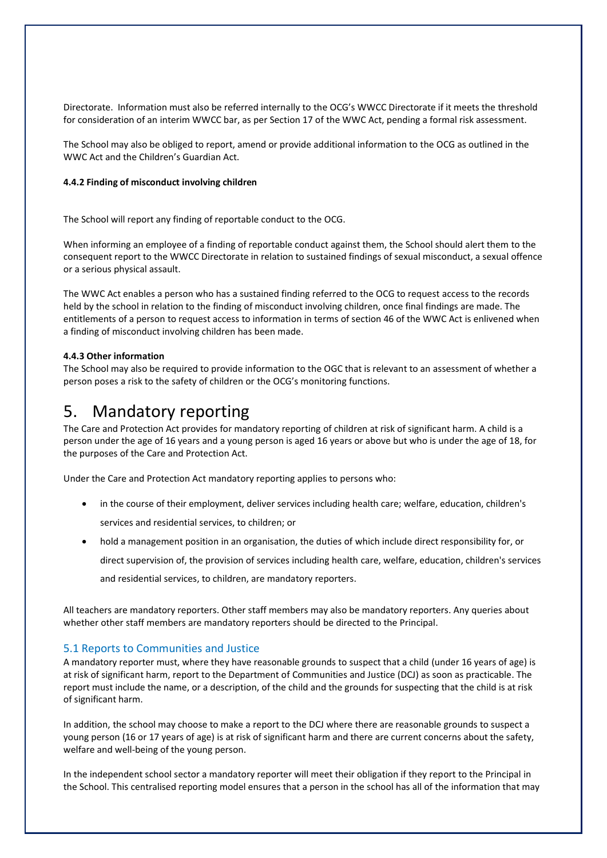Directorate. Information must also be referred internally to the OCG's WWCC Directorate if it meets the threshold for consideration of an interim WWCC bar, as per Section 17 of the WWC Act, pending a formal risk assessment.

The School may also be obliged to report, amend or provide additional information to the OCG as outlined in the WWC Act and the Children's Guardian Act.

#### **4.4.2 Finding of misconduct involving children**

The School will report any finding of reportable conduct to the OCG.

When informing an employee of a finding of reportable conduct against them, the School should alert them to the consequent report to the WWCC Directorate in relation to sustained findings of sexual misconduct, a sexual offence or a serious physical assault.

The WWC Act enables a person who has a sustained finding referred to the OCG to request access to the records held by the school in relation to the finding of misconduct involving children, once final findings are made. The entitlements of a person to request access to information in terms of section 46 of the WWC Act is enlivened when a finding of misconduct involving children has been made.

#### **4.4.3 Other information**

The School may also be required to provide information to the OGC that is relevant to an assessment of whether a person poses a risk to the safety of children or the OCG's monitoring functions.

### <span id="page-7-0"></span>5. Mandatory reporting

The Care and Protection Act provides for mandatory reporting of children at risk of significant harm. A child is a person under the age of 16 years and a young person is aged 16 years or above but who is under the age of 18, for the purposes of the Care and Protection Act.

Under the Care and Protection Act mandatory reporting applies to persons who:

- in the course of their employment, deliver services including health care; welfare, education, children's services and residential services, to children; or
- hold a management position in an organisation, the duties of which include direct responsibility for, or

direct supervision of, the provision of services including health care, welfare, education, children's services

and residential services, to children, are mandatory reporters.

All teachers are mandatory reporters. Other staff members may also be mandatory reporters. Any queries about whether other staff members are mandatory reporters should be directed to the Principal.

#### <span id="page-7-1"></span>5.1 Reports to Communities and Justice

A mandatory reporter must, where they have reasonable grounds to suspect that a child (under 16 years of age) is at risk of significant harm, report to the Department of Communities and Justice (DCJ) as soon as practicable. The report must include the name, or a description, of the child and the grounds for suspecting that the child is at risk of significant harm.

In addition, the school may choose to make a report to the DCJ where there are reasonable grounds to suspect a young person (16 or 17 years of age) is at risk of significant harm and there are current concerns about the safety, welfare and well-being of the young person.

In the independent school sector a mandatory reporter will meet their obligation if they report to the Principal in the School. This centralised reporting model ensures that a person in the school has all of the information that may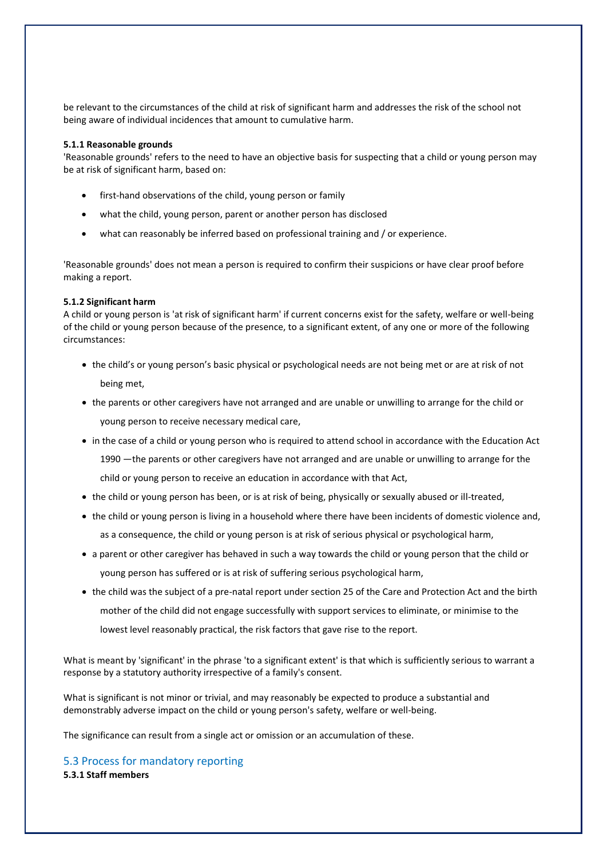be relevant to the circumstances of the child at risk of significant harm and addresses the risk of the school not being aware of individual incidences that amount to cumulative harm.

#### **5.1.1 Reasonable grounds**

'Reasonable grounds' refers to the need to have an objective basis for suspecting that a child or young person may be at risk of significant harm, based on:

- first-hand observations of the child, young person or family
- what the child, young person, parent or another person has disclosed
- what can reasonably be inferred based on professional training and / or experience.

'Reasonable grounds' does not mean a person is required to confirm their suspicions or have clear proof before making a report.

#### **5.1.2 Significant harm**

A child or young person is 'at risk of significant harm' if current concerns exist for the safety, welfare or well-being of the child or young person because of the presence, to a significant extent, of any one or more of the following circumstances:

- the child's or young person's basic physical or psychological needs are not being met or are at risk of not being met,
- the parents or other caregivers have not arranged and are unable or unwilling to arrange for the child or young person to receive necessary medical care,
- in the case of a child or young person who is required to attend school in accordance with the Education Act 1990 —the parents or other caregivers have not arranged and are unable or unwilling to arrange for the child or young person to receive an education in accordance with that Act,
- the child or young person has been, or is at risk of being, physically or sexually abused or ill-treated,
- the child or young person is living in a household where there have been incidents of domestic violence and, as a consequence, the child or young person is at risk of serious physical or psychological harm,
- a parent or other caregiver has behaved in such a way towards the child or young person that the child or young person has suffered or is at risk of suffering serious psychological harm,
- the child was the subject of a pre-natal report under section 25 of the Care and Protection Act and the birth mother of the child did not engage successfully with support services to eliminate, or minimise to the lowest level reasonably practical, the risk factors that gave rise to the report.

What is meant by 'significant' in the phrase 'to a significant extent' is that which is sufficiently serious to warrant a response by a statutory authority irrespective of a family's consent.

What is significant is not minor or trivial, and may reasonably be expected to produce a substantial and demonstrably adverse impact on the child or young person's safety, welfare or well-being.

The significance can result from a single act or omission or an accumulation of these.

<span id="page-8-0"></span>5.3 Process for mandatory reporting **5.3.1 Staff members**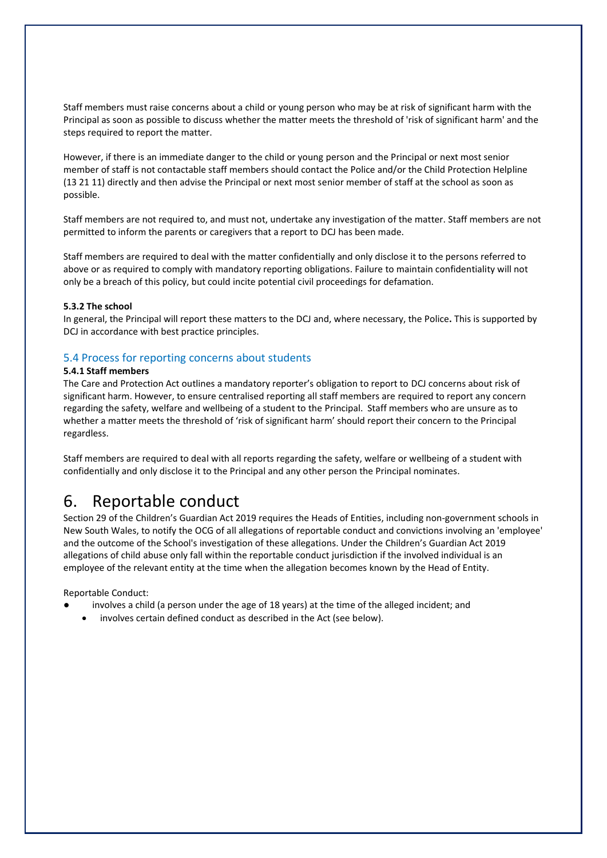Staff members must raise concerns about a child or young person who may be at risk of significant harm with the Principal as soon as possible to discuss whether the matter meets the threshold of 'risk of significant harm' and the steps required to report the matter.

However, if there is an immediate danger to the child or young person and the Principal or next most senior member of staff is not contactable staff members should contact the Police and/or the Child Protection Helpline (13 21 11) directly and then advise the Principal or next most senior member of staff at the school as soon as possible.

Staff members are not required to, and must not, undertake any investigation of the matter. Staff members are not permitted to inform the parents or caregivers that a report to DCJ has been made.

Staff members are required to deal with the matter confidentially and only disclose it to the persons referred to above or as required to comply with mandatory reporting obligations. Failure to maintain confidentiality will not only be a breach of this policy, but could incite potential civil proceedings for defamation.

#### **5.3.2 The school**

In general, the Principal will report these matters to the DCJ and, where necessary, the Police**.** This is supported by DCJ in accordance with best practice principles.

#### <span id="page-9-0"></span>5.4 Process for reporting concerns about students

#### **5.4.1 Staff members**

The Care and Protection Act outlines a mandatory reporter's obligation to report to DCJ concerns about risk of significant harm. However, to ensure centralised reporting all staff members are required to report any concern regarding the safety, welfare and wellbeing of a student to the Principal. Staff members who are unsure as to whether a matter meets the threshold of 'risk of significant harm' should report their concern to the Principal regardless.

Staff members are required to deal with all reports regarding the safety, welfare or wellbeing of a student with confidentially and only disclose it to the Principal and any other person the Principal nominates.

### <span id="page-9-1"></span>6. Reportable conduct

Section 29 of the Children's Guardian Act 2019 requires the Heads of Entities, including non-government schools in New South Wales, to notify the OCG of all allegations of reportable conduct and convictions involving an 'employee' and the outcome of the School's investigation of these allegations. Under the Children's Guardian Act 2019 allegations of child abuse only fall within the reportable conduct jurisdiction if the involved individual is an employee of the relevant entity at the time when the allegation becomes known by the Head of Entity.

Reportable Conduct:

- involves a child (a person under the age of 18 years) at the time of the alleged incident; and
- involves certain defined conduct as described in the Act (see below).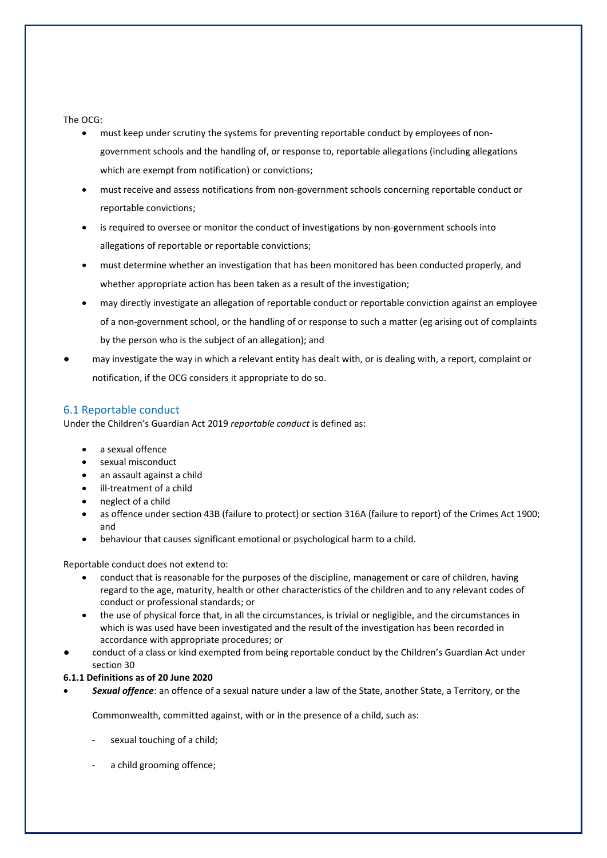#### The OCG:

- must keep under scrutiny the systems for preventing reportable conduct by employees of nongovernment schools and the handling of, or response to, reportable allegations (including allegations which are exempt from notification) or convictions;
- must receive and assess notifications from non-government schools concerning reportable conduct or reportable convictions;
- is required to oversee or monitor the conduct of investigations by non-government schools into allegations of reportable or reportable convictions;
- must determine whether an investigation that has been monitored has been conducted properly, and whether appropriate action has been taken as a result of the investigation;
- may directly investigate an allegation of reportable conduct or reportable conviction against an employee of a non-government school, or the handling of or response to such a matter (eg arising out of complaints by the person who is the subject of an allegation); and
- may investigate the way in which a relevant entity has dealt with, or is dealing with, a report, complaint or notification, if the OCG considers it appropriate to do so.

#### <span id="page-10-0"></span>6.1 Reportable conduct

Under the Children's Guardian Act 2019 *reportable conduct* is defined as:

- a sexual offence
- sexual misconduct
- an assault against a child
- ill-treatment of a child
- neglect of a child
- as offence under section 43B (failure to protect) or section 316A (failure to report) of the Crimes Act 1900; and
- behaviour that causes significant emotional or psychological harm to a child.

Reportable conduct does not extend to:

- conduct that is reasonable for the purposes of the discipline, management or care of children, having regard to the age, maturity, health or other characteristics of the children and to any relevant codes of conduct or professional standards; or
- the use of physical force that, in all the circumstances, is trivial or negligible, and the circumstances in which is was used have been investigated and the result of the investigation has been recorded in accordance with appropriate procedures; or
- conduct of a class or kind exempted from being reportable conduct by the Children's Guardian Act under section 30

#### **6.1.1 Definitions as of 20 June 2020**

• *Sexual offence*: an offence of a sexual nature under a law of the State, another State, a Territory, or the

Commonwealth, committed against, with or in the presence of a child, such as:

- sexual touching of a child;
- a child grooming offence;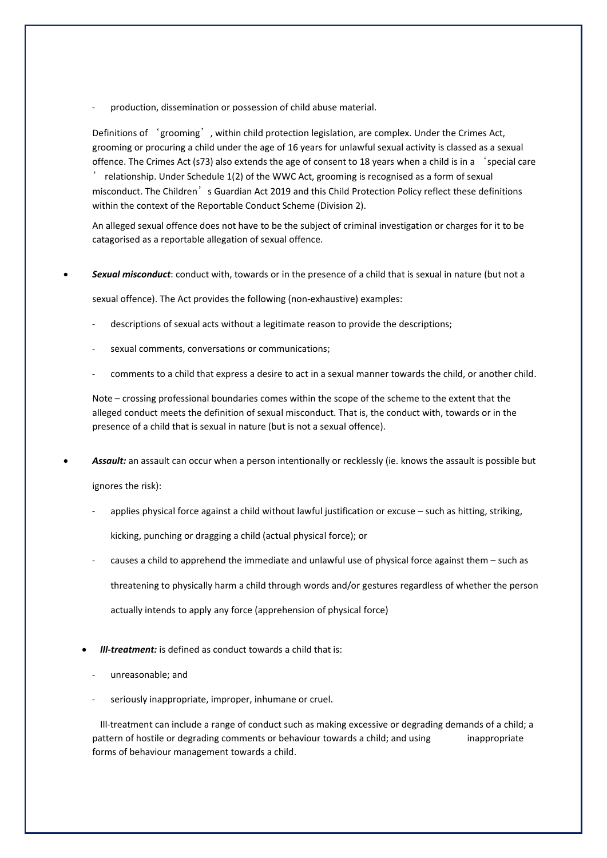production, dissemination or possession of child abuse material.

Definitions of 'grooming', within child protection legislation, are complex. Under the Crimes Act, grooming or procuring a child under the age of 16 years for unlawful sexual activity is classed as a sexual offence. The Crimes Act (s73) also extends the age of consent to 18 years when a child is in a 'special care ' relationship. Under Schedule 1(2) of the WWC Act, grooming is recognised as a form of sexual misconduct. The Children's Guardian Act 2019 and this Child Protection Policy reflect these definitions within the context of the Reportable Conduct Scheme (Division 2).

An alleged sexual offence does not have to be the subject of criminal investigation or charges for it to be catagorised as a reportable allegation of sexual offence.

• *Sexual misconduct*: conduct with, towards or in the presence of a child that is sexual in nature (but not a

sexual offence). The Act provides the following (non-exhaustive) examples:

- descriptions of sexual acts without a legitimate reason to provide the descriptions;
- sexual comments, conversations or communications;
- comments to a child that express a desire to act in a sexual manner towards the child, or another child.

Note – crossing professional boundaries comes within the scope of the scheme to the extent that the alleged conduct meets the definition of sexual misconduct. That is, the conduct with, towards or in the presence of a child that is sexual in nature (but is not a sexual offence).

- *Assault:* an assault can occur when a person intentionally or recklessly (ie. knows the assault is possible but ignores the risk):
	- applies physical force against a child without lawful justification or excuse such as hitting, striking,

kicking, punching or dragging a child (actual physical force); or

- causes a child to apprehend the immediate and unlawful use of physical force against them such as threatening to physically harm a child through words and/or gestures regardless of whether the person actually intends to apply any force (apprehension of physical force)
- *lll-treatment:* is defined as conduct towards a child that is:
	- unreasonable; and
	- seriously inappropriate, improper, inhumane or cruel.

Ill-treatment can include a range of conduct such as making excessive or degrading demands of a child; a pattern of hostile or degrading comments or behaviour towards a child; and using inappropriate forms of behaviour management towards a child.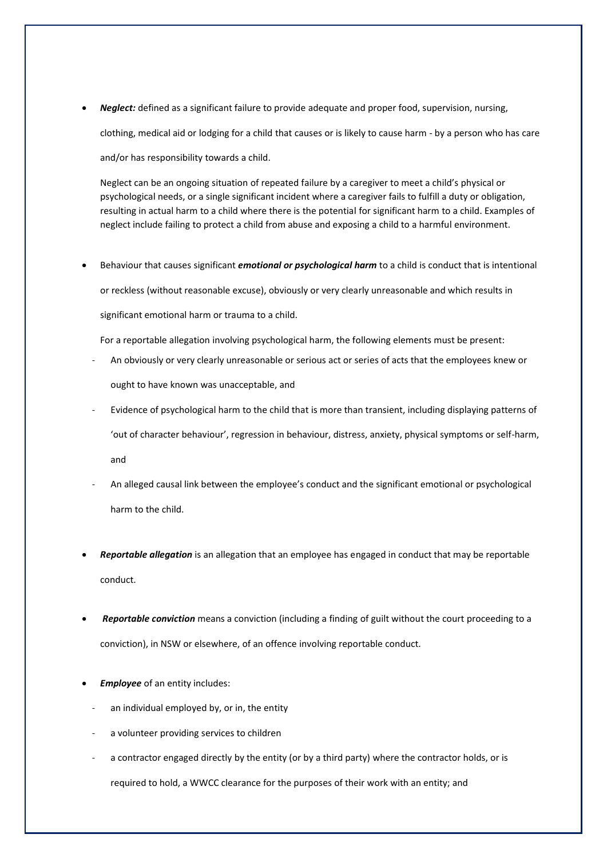• *Neglect:* defined as a significant failure to provide adequate and proper food, supervision, nursing, clothing, medical aid or lodging for a child that causes or is likely to cause harm - by a person who has care

and/or has responsibility towards a child.

Neglect can be an ongoing situation of repeated failure by a caregiver to meet a child's physical or psychological needs, or a single significant incident where a caregiver fails to fulfill a duty or obligation, resulting in actual harm to a child where there is the potential for significant harm to a child. Examples of neglect include failing to protect a child from abuse and exposing a child to a harmful environment.

• Behaviour that causes significant *emotional or psychological harm* to a child is conduct that is intentional or reckless (without reasonable excuse), obviously or very clearly unreasonable and which results in significant emotional harm or trauma to a child.

For a reportable allegation involving psychological harm, the following elements must be present:

- An obviously or very clearly unreasonable or serious act or series of acts that the employees knew or ought to have known was unacceptable, and
- Evidence of psychological harm to the child that is more than transient, including displaying patterns of 'out of character behaviour', regression in behaviour, distress, anxiety, physical symptoms or self-harm, and
- An alleged causal link between the employee's conduct and the significant emotional or psychological harm to the child.
- *Reportable allegation* is an allegation that an employee has engaged in conduct that may be reportable conduct.
- *Reportable conviction* means a conviction (including a finding of guilt without the court proceeding to a conviction), in NSW or elsewhere, of an offence involving reportable conduct.
- *Employee* of an entity includes:
	- an individual employed by, or in, the entity
	- a volunteer providing services to children
	- a contractor engaged directly by the entity (or by a third party) where the contractor holds, or is required to hold, a WWCC clearance for the purposes of their work with an entity; and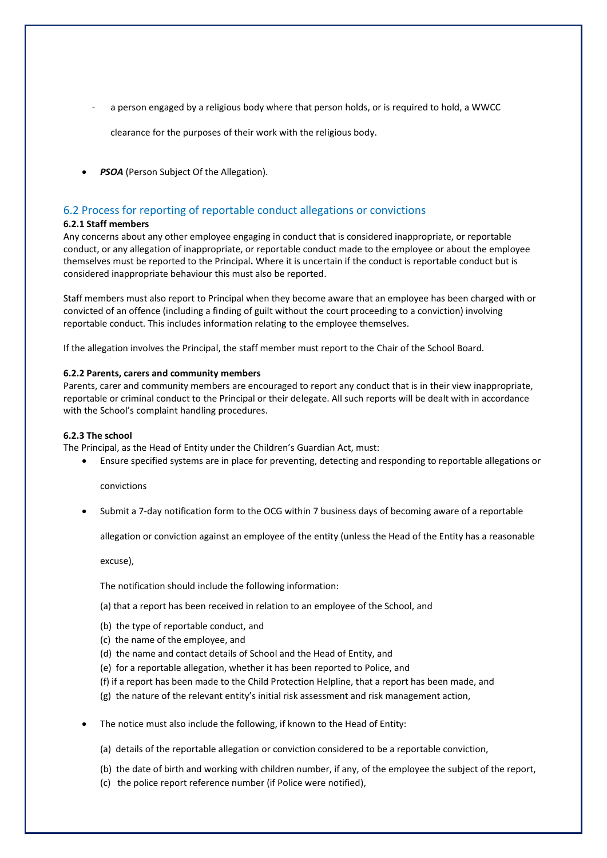a person engaged by a religious body where that person holds, or is required to hold, a WWCC

clearance for the purposes of their work with the religious body.

• *PSOA* (Person Subject Of the Allegation).

#### <span id="page-13-0"></span>6.2 Process for reporting of reportable conduct allegations or convictions

#### **6.2.1 Staff members**

Any concerns about any other employee engaging in conduct that is considered inappropriate, or reportable conduct, or any allegation of inappropriate, or reportable conduct made to the employee or about the employee themselves must be reported to the Principal**.** Where it is uncertain if the conduct is reportable conduct but is considered inappropriate behaviour this must also be reported.

Staff members must also report to Principal when they become aware that an employee has been charged with or convicted of an offence (including a finding of guilt without the court proceeding to a conviction) involving reportable conduct. This includes information relating to the employee themselves.

If the allegation involves the Principal, the staff member must report to the Chair of the School Board.

#### **6.2.2 Parents, carers and community members**

Parents, carer and community members are encouraged to report any conduct that is in their view inappropriate, reportable or criminal conduct to the Principal or their delegate. All such reports will be dealt with in accordance with the School's complaint handling procedures.

#### **6.2.3 The school**

The Principal, as the Head of Entity under the Children's Guardian Act, must:

• Ensure specified systems are in place for preventing, detecting and responding to reportable allegations or

convictions

• Submit a 7-day notification form to the OCG within 7 business days of becoming aware of a reportable

allegation or conviction against an employee of the entity (unless the Head of the Entity has a reasonable

excuse),

The notification should include the following information:

- (a) that a report has been received in relation to an employee of the School, and
- (b) the type of reportable conduct, and
- (c) the name of the employee, and
- (d) the name and contact details of School and the Head of Entity, and
- (e) for a reportable allegation, whether it has been reported to Police, and
- (f) if a report has been made to the Child Protection Helpline, that a report has been made, and
- (g) the nature of the relevant entity's initial risk assessment and risk management action,
- The notice must also include the following, if known to the Head of Entity:
	- (a) details of the reportable allegation or conviction considered to be a reportable conviction,
	- (b) the date of birth and working with children number, if any, of the employee the subject of the report,
	- (c) the police report reference number (if Police were notified),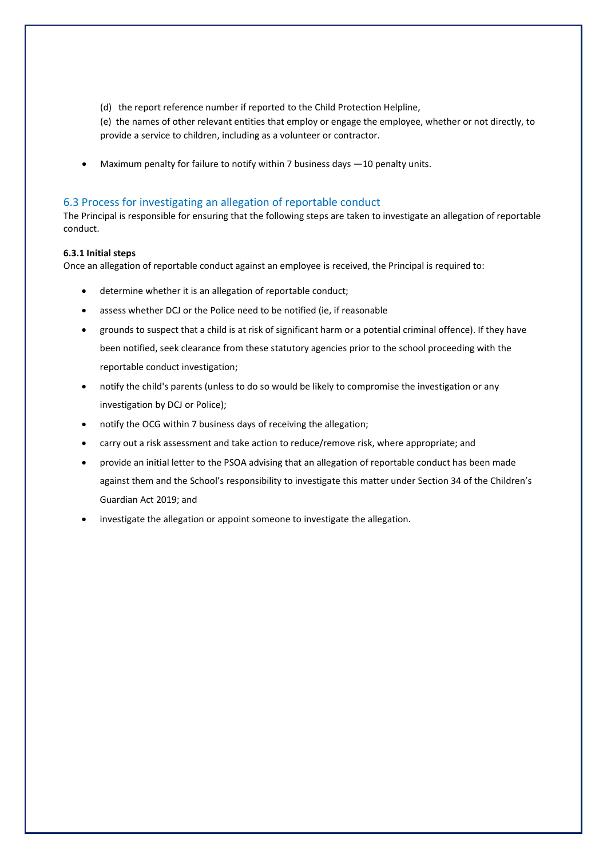(d) the report reference number if reported to the Child Protection Helpline,

(e) the names of other relevant entities that employ or engage the employee, whether or not directly, to provide a service to children, including as a volunteer or contractor.

Maximum penalty for failure to notify within 7 business days -10 penalty units.

#### <span id="page-14-0"></span>6.3 Process for investigating an allegation of reportable conduct

The Principal is responsible for ensuring that the following steps are taken to investigate an allegation of reportable conduct.

#### **6.3.1 Initial steps**

Once an allegation of reportable conduct against an employee is received, the Principal is required to:

- determine whether it is an allegation of reportable conduct;
- assess whether DCJ or the Police need to be notified (ie, if reasonable
- grounds to suspect that a child is at risk of significant harm or a potential criminal offence). If they have been notified, seek clearance from these statutory agencies prior to the school proceeding with the reportable conduct investigation;
- notify the child's parents (unless to do so would be likely to compromise the investigation or any investigation by DCJ or Police);
- notify the OCG within 7 business days of receiving the allegation;
- carry out a risk assessment and take action to reduce/remove risk, where appropriate; and
- provide an initial letter to the PSOA advising that an allegation of reportable conduct has been made against them and the School's responsibility to investigate this matter under Section 34 of the Children's Guardian Act 2019; and
- investigate the allegation or appoint someone to investigate the allegation.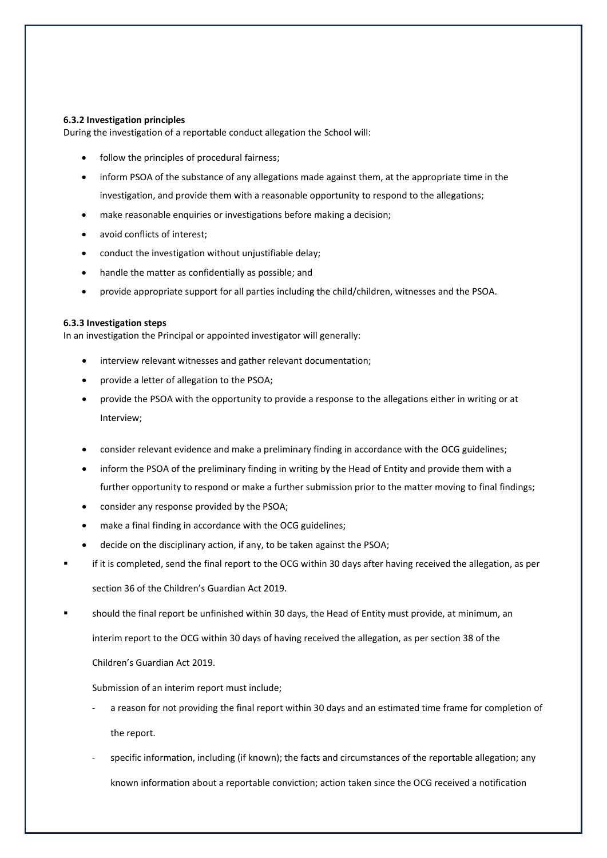#### **6.3.2 Investigation principles**

During the investigation of a reportable conduct allegation the School will:

- follow the principles of procedural fairness;
- inform PSOA of the substance of any allegations made against them, at the appropriate time in the investigation, and provide them with a reasonable opportunity to respond to the allegations;
- make reasonable enquiries or investigations before making a decision;
- avoid conflicts of interest;
- conduct the investigation without unjustifiable delay;
- handle the matter as confidentially as possible; and
- provide appropriate support for all parties including the child/children, witnesses and the PSOA.

#### **6.3.3 Investigation steps**

In an investigation the Principal or appointed investigator will generally:

- interview relevant witnesses and gather relevant documentation;
- provide a letter of allegation to the PSOA;
- provide the PSOA with the opportunity to provide a response to the allegations either in writing or at Interview;
- consider relevant evidence and make a preliminary finding in accordance with the OCG guidelines;
- inform the PSOA of the preliminary finding in writing by the Head of Entity and provide them with a further opportunity to respond or make a further submission prior to the matter moving to final findings;
- consider any response provided by the PSOA;
- make a final finding in accordance with the OCG guidelines;
- decide on the disciplinary action, if any, to be taken against the PSOA;
- if it is completed, send the final report to the OCG within 30 days after having received the allegation, as per section 36 of the Children's Guardian Act 2019.
- should the final report be unfinished within 30 days, the Head of Entity must provide, at minimum, an

interim report to the OCG within 30 days of having received the allegation, as per section 38 of the

Children's Guardian Act 2019.

#### Submission of an interim report must include;

- a reason for not providing the final report within 30 days and an estimated time frame for completion of the report.
- specific information, including (if known); the facts and circumstances of the reportable allegation; any known information about a reportable conviction; action taken since the OCG received a notification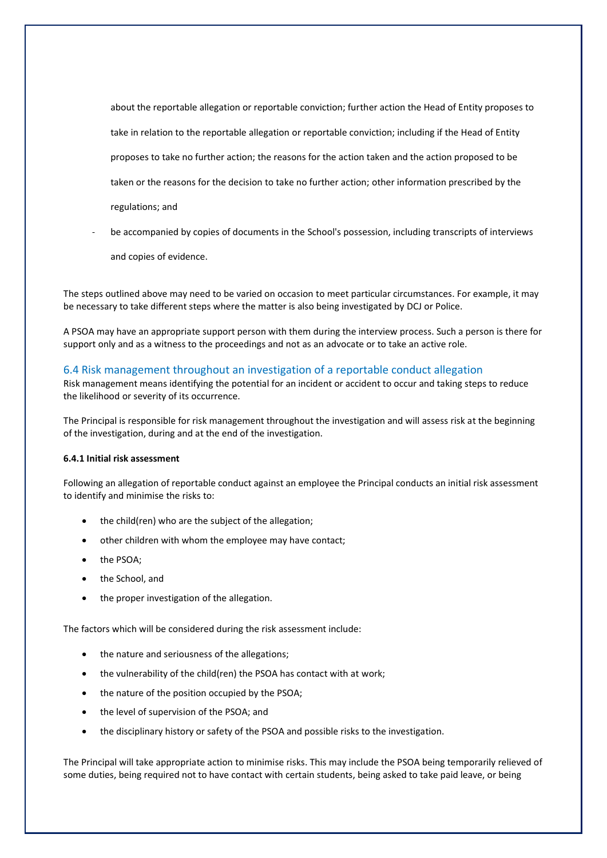about the reportable allegation or reportable conviction; further action the Head of Entity proposes to take in relation to the reportable allegation or reportable conviction; including if the Head of Entity proposes to take no further action; the reasons for the action taken and the action proposed to be taken or the reasons for the decision to take no further action; other information prescribed by the regulations; and

be accompanied by copies of documents in the School's possession, including transcripts of interviews

and copies of evidence.

The steps outlined above may need to be varied on occasion to meet particular circumstances. For example, it may be necessary to take different steps where the matter is also being investigated by DCJ or Police.

A PSOA may have an appropriate support person with them during the interview process. Such a person is there for support only and as a witness to the proceedings and not as an advocate or to take an active role.

#### <span id="page-16-0"></span>6.4 Risk management throughout an investigation of a reportable conduct allegation

Risk management means identifying the potential for an incident or accident to occur and taking steps to reduce the likelihood or severity of its occurrence.

The Principal is responsible for risk management throughout the investigation and will assess risk at the beginning of the investigation, during and at the end of the investigation.

#### **6.4.1 Initial risk assessment**

Following an allegation of reportable conduct against an employee the Principal conducts an initial risk assessment to identify and minimise the risks to:

- the child(ren) who are the subject of the allegation;
- other children with whom the employee may have contact;
- the PSOA;
- the School, and
- the proper investigation of the allegation.

The factors which will be considered during the risk assessment include:

- the nature and seriousness of the allegations;
- the vulnerability of the child(ren) the PSOA has contact with at work;
- the nature of the position occupied by the PSOA;
- the level of supervision of the PSOA; and
- the disciplinary history or safety of the PSOA and possible risks to the investigation.

The Principal will take appropriate action to minimise risks. This may include the PSOA being temporarily relieved of some duties, being required not to have contact with certain students, being asked to take paid leave, or being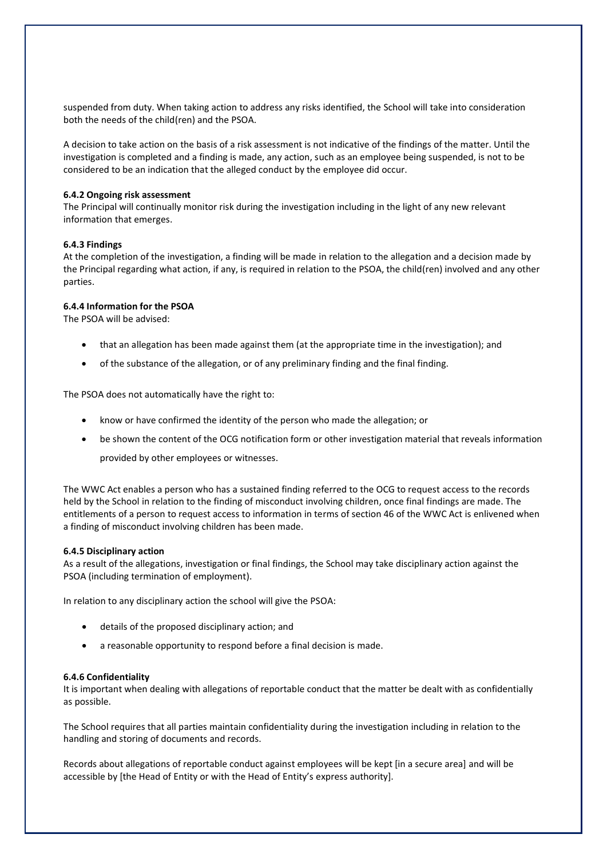suspended from duty. When taking action to address any risks identified, the School will take into consideration both the needs of the child(ren) and the PSOA.

A decision to take action on the basis of a risk assessment is not indicative of the findings of the matter. Until the investigation is completed and a finding is made, any action, such as an employee being suspended, is not to be considered to be an indication that the alleged conduct by the employee did occur.

#### **6.4.2 Ongoing risk assessment**

The Principal will continually monitor risk during the investigation including in the light of any new relevant information that emerges.

#### **6.4.3 Findings**

At the completion of the investigation, a finding will be made in relation to the allegation and a decision made by the Principal regarding what action, if any, is required in relation to the PSOA, the child(ren) involved and any other parties.

#### **6.4.4 Information for the PSOA**

The PSOA will be advised:

- that an allegation has been made against them (at the appropriate time in the investigation); and
- of the substance of the allegation, or of any preliminary finding and the final finding.

The PSOA does not automatically have the right to:

- know or have confirmed the identity of the person who made the allegation; or
- be shown the content of the OCG notification form or other investigation material that reveals information provided by other employees or witnesses.

The WWC Act enables a person who has a sustained finding referred to the OCG to request access to the records held by the School in relation to the finding of misconduct involving children, once final findings are made. The entitlements of a person to request access to information in terms of section 46 of the WWC Act is enlivened when a finding of misconduct involving children has been made.

#### **6.4.5 Disciplinary action**

As a result of the allegations, investigation or final findings, the School may take disciplinary action against the PSOA (including termination of employment).

In relation to any disciplinary action the school will give the PSOA:

- details of the proposed disciplinary action; and
- a reasonable opportunity to respond before a final decision is made.

#### **6.4.6 Confidentiality**

It is important when dealing with allegations of reportable conduct that the matter be dealt with as confidentially as possible.

The School requires that all parties maintain confidentiality during the investigation including in relation to the handling and storing of documents and records.

Records about allegations of reportable conduct against employees will be kept [in a secure area] and will be accessible by [the Head of Entity or with the Head of Entity's express authority].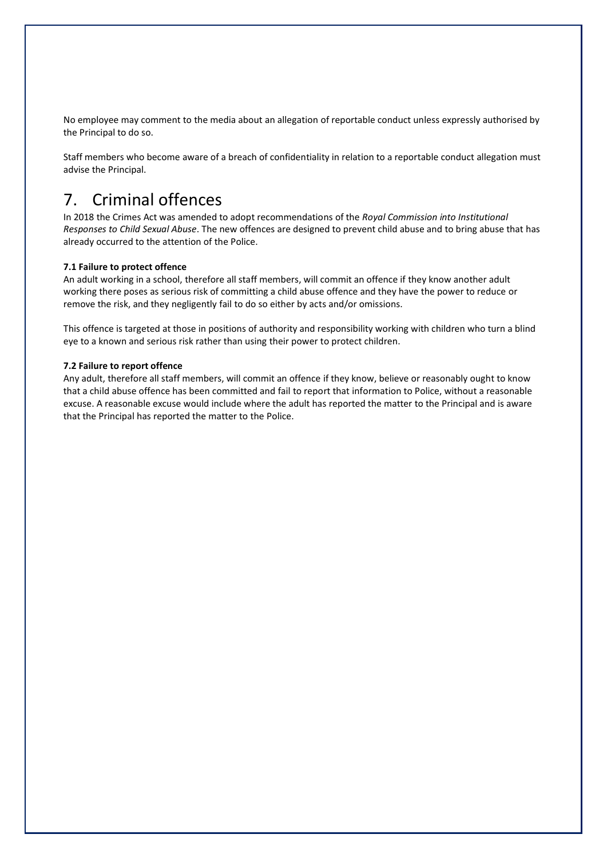No employee may comment to the media about an allegation of reportable conduct unless expressly authorised by the Principal to do so.

Staff members who become aware of a breach of confidentiality in relation to a reportable conduct allegation must advise the Principal.

# <span id="page-18-0"></span>7. Criminal offences

In 2018 the Crimes Act was amended to adopt recommendations of the *Royal Commission into Institutional Responses to Child Sexual Abuse*. The new offences are designed to prevent child abuse and to bring abuse that has already occurred to the attention of the Police.

#### **7.1 Failure to protect offence**

An adult working in a school, therefore all staff members, will commit an offence if they know another adult working there poses as serious risk of committing a child abuse offence and they have the power to reduce or remove the risk, and they negligently fail to do so either by acts and/or omissions.

This offence is targeted at those in positions of authority and responsibility working with children who turn a blind eye to a known and serious risk rather than using their power to protect children.

#### **7.2 Failure to report offence**

Any adult, therefore all staff members, will commit an offence if they know, believe or reasonably ought to know that a child abuse offence has been committed and fail to report that information to Police, without a reasonable excuse. A reasonable excuse would include where the adult has reported the matter to the Principal and is aware that the Principal has reported the matter to the Police.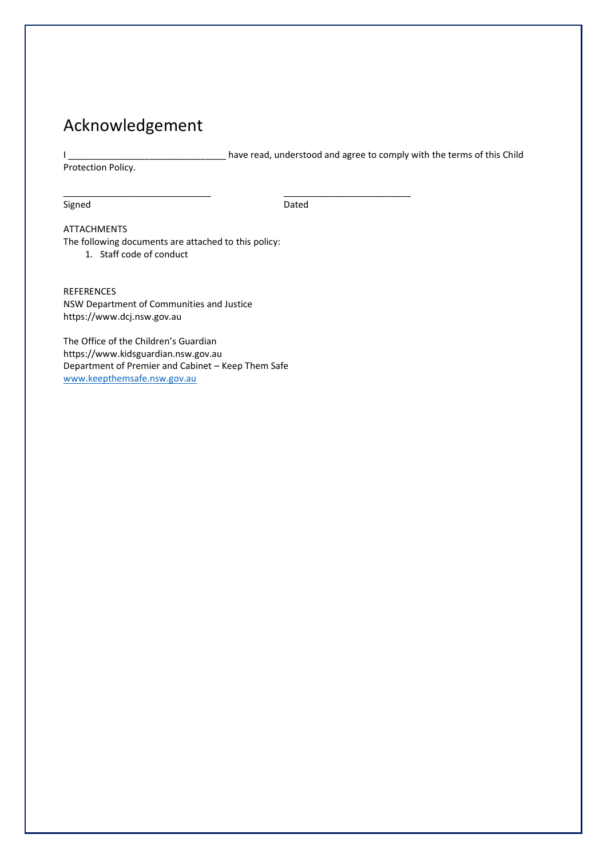# <span id="page-19-0"></span>Acknowledgement

I \_\_\_\_\_\_\_\_\_\_\_\_\_\_\_\_\_\_\_\_\_\_\_\_\_\_\_\_\_\_\_ have read, understood and agree to comply with the terms of this Child

Protection Policy.

Signed **Dated Dated** 

\_\_\_\_\_\_\_\_\_\_\_\_\_\_\_\_\_\_\_\_\_\_\_\_\_\_\_\_\_ \_\_\_\_\_\_\_\_\_\_\_\_\_\_\_\_\_\_\_\_\_\_\_\_\_

#### ATTACHMENTS

The following documents are attached to this policy: 1. Staff code of conduct

REFERENCES NSW Department of Communities and Justice https://www.dcj.nsw.gov.au

The Office of the Children's Guardian https://www.kidsguardian.nsw.gov.au Department of Premier and Cabinet – Keep Them Safe [www.keepthemsafe.nsw.gov.au](http://www.keepthemsafe.nsw.gov.au/)